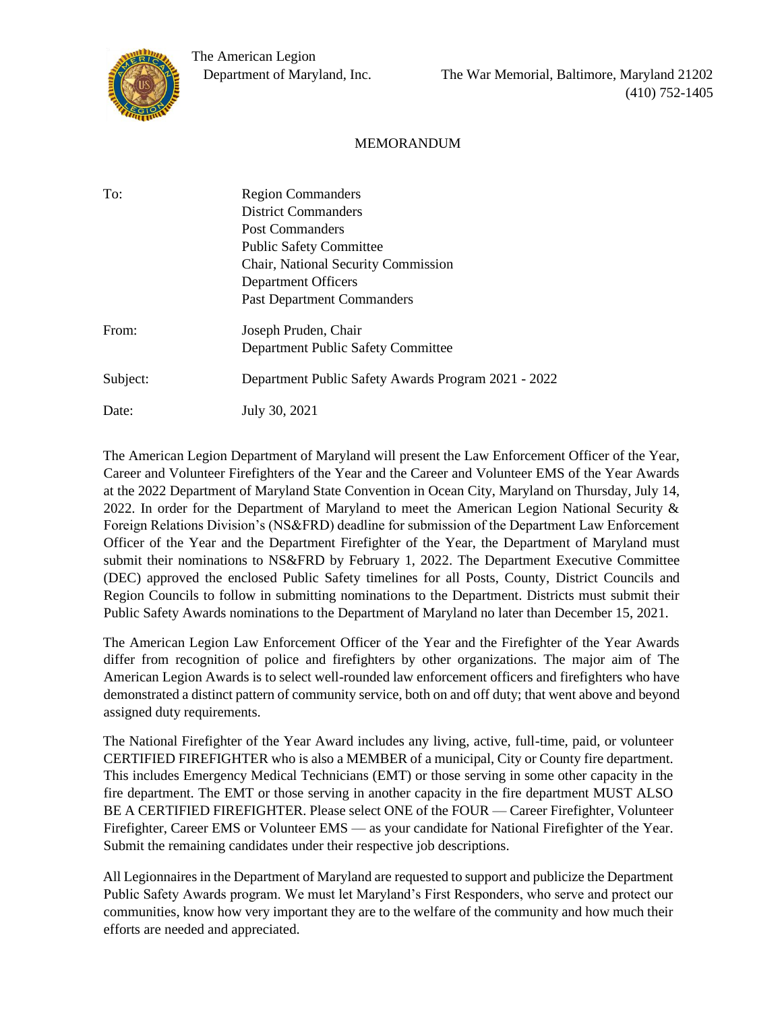# The American Legion



Department of Maryland, Inc. The War Memorial, Baltimore, Maryland 21202 (410) 752-1405

## MEMORANDUM

| To:      | <b>Region Commanders</b>                            |
|----------|-----------------------------------------------------|
|          | <b>District Commanders</b>                          |
|          | Post Commanders                                     |
|          | <b>Public Safety Committee</b>                      |
|          | Chair, National Security Commission                 |
|          | Department Officers                                 |
|          | <b>Past Department Commanders</b>                   |
| From:    | Joseph Pruden, Chair                                |
|          | Department Public Safety Committee                  |
| Subject: | Department Public Safety Awards Program 2021 - 2022 |
| Date:    | July 30, 2021                                       |

The American Legion Department of Maryland will present the Law Enforcement Officer of the Year, Career and Volunteer Firefighters of the Year and the Career and Volunteer EMS of the Year Awards at the 2022 Department of Maryland State Convention in Ocean City, Maryland on Thursday, July 14, 2022. In order for the Department of Maryland to meet the American Legion National Security & Foreign Relations Division's (NS&FRD) deadline for submission of the Department Law Enforcement Officer of the Year and the Department Firefighter of the Year, the Department of Maryland must submit their nominations to NS&FRD by February 1, 2022. The Department Executive Committee (DEC) approved the enclosed Public Safety timelines for all Posts, County, District Councils and Region Councils to follow in submitting nominations to the Department. Districts must submit their Public Safety Awards nominations to the Department of Maryland no later than December 15, 2021.

The American Legion Law Enforcement Officer of the Year and the Firefighter of the Year Awards differ from recognition of police and firefighters by other organizations. The major aim of The American Legion Awards is to select well-rounded law enforcement officers and firefighters who have demonstrated a distinct pattern of community service, both on and off duty; that went above and beyond assigned duty requirements.

The National Firefighter of the Year Award includes any living, active, full-time, paid, or volunteer CERTIFIED FIREFIGHTER who is also a MEMBER of a municipal, City or County fire department. This includes Emergency Medical Technicians (EMT) or those serving in some other capacity in the fire department. The EMT or those serving in another capacity in the fire department MUST ALSO BE A CERTIFIED FIREFIGHTER. Please select ONE of the FOUR — Career Firefighter, Volunteer Firefighter, Career EMS or Volunteer EMS — as your candidate for National Firefighter of the Year. Submit the remaining candidates under their respective job descriptions.

All Legionnaires in the Department of Maryland are requested to support and publicize the Department Public Safety Awards program. We must let Maryland's First Responders, who serve and protect our communities, know how very important they are to the welfare of the community and how much their efforts are needed and appreciated.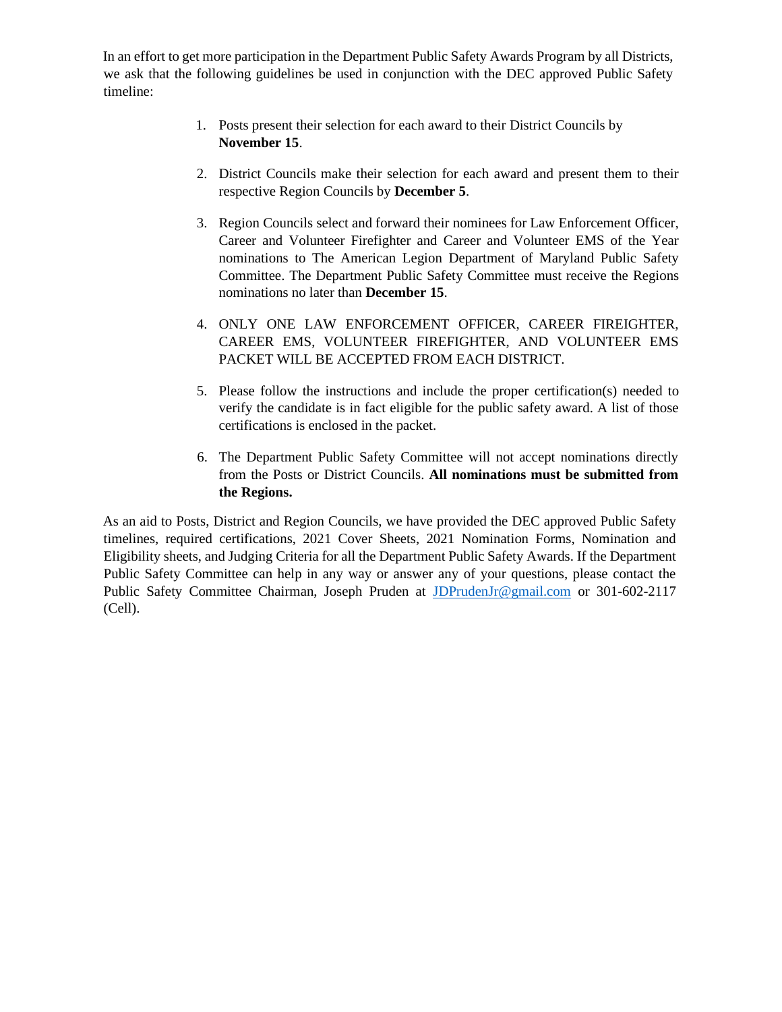In an effort to get more participation in the Department Public Safety Awards Program by all Districts, we ask that the following guidelines be used in conjunction with the DEC approved Public Safety timeline:

- 1. Posts present their selection for each award to their District Councils by **November 15**.
- 2. District Councils make their selection for each award and present them to their respective Region Councils by **December 5**.
- 3. Region Councils select and forward their nominees for Law Enforcement Officer, Career and Volunteer Firefighter and Career and Volunteer EMS of the Year nominations to The American Legion Department of Maryland Public Safety Committee. The Department Public Safety Committee must receive the Regions nominations no later than **December 15**.
- 4. ONLY ONE LAW ENFORCEMENT OFFICER, CAREER FIREIGHTER, CAREER EMS, VOLUNTEER FIREFIGHTER, AND VOLUNTEER EMS PACKET WILL BE ACCEPTED FROM EACH DISTRICT.
- 5. Please follow the instructions and include the proper certification(s) needed to verify the candidate is in fact eligible for the public safety award. A list of those certifications is enclosed in the packet.
- 6. The Department Public Safety Committee will not accept nominations directly from the Posts or District Councils. **All nominations must be submitted from the Regions.**

As an aid to Posts, District and Region Councils, we have provided the DEC approved Public Safety timelines, required certifications, 2021 Cover Sheets, 2021 Nomination Forms, Nomination and Eligibility sheets, and Judging Criteria for all the Department Public Safety Awards. If the Department Public Safety Committee can help in any way or answer any of your questions, please contact the Public Safety Committee Chairman, Joseph Pruden at [JDPrudenJr@gmail.com](mailto:JDPrudenJr@gmail.com) or 301-602-2117 (Cell).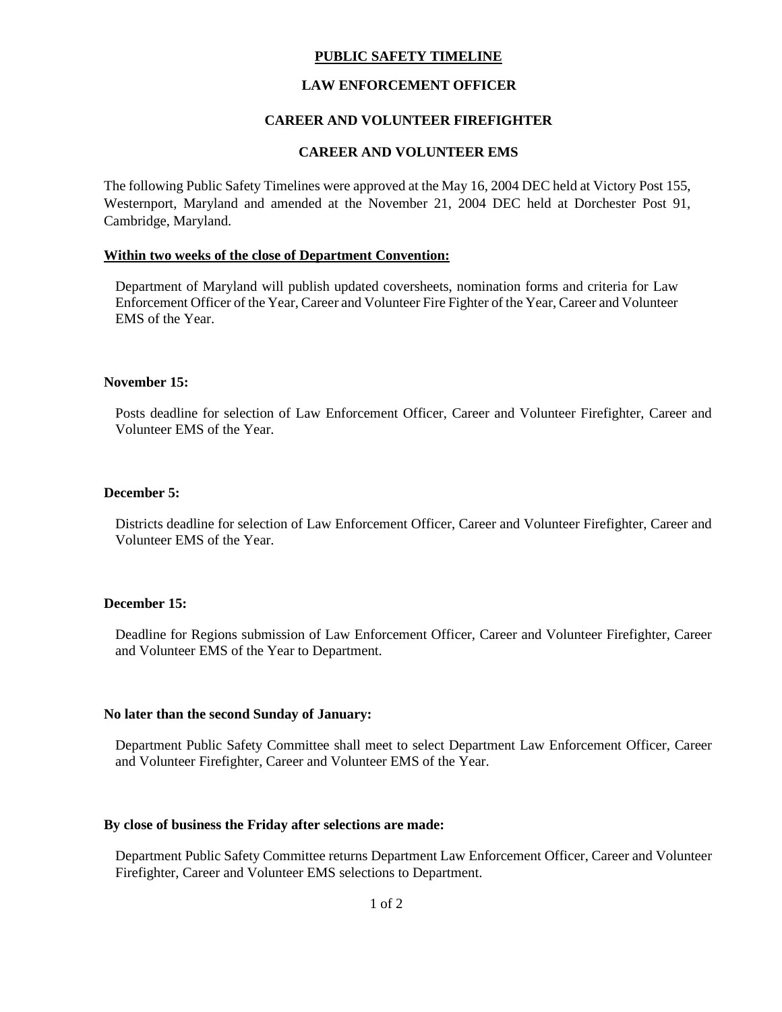#### **PUBLIC SAFETY TIMELINE**

### **LAW ENFORCEMENT OFFICER**

## **CAREER AND VOLUNTEER FIREFIGHTER**

#### **CAREER AND VOLUNTEER EMS**

The following Public Safety Timelines were approved at the May 16, 2004 DEC held at Victory Post 155, Westernport, Maryland and amended at the November 21, 2004 DEC held at Dorchester Post 91, Cambridge, Maryland.

#### **Within two weeks of the close of Department Convention:**

Department of Maryland will publish updated coversheets, nomination forms and criteria for Law Enforcement Officer of the Year, Career and Volunteer Fire Fighter of the Year, Career and Volunteer EMS of the Year.

#### **November 15:**

Posts deadline for selection of Law Enforcement Officer, Career and Volunteer Firefighter, Career and Volunteer EMS of the Year.

#### **December 5:**

Districts deadline for selection of Law Enforcement Officer, Career and Volunteer Firefighter, Career and Volunteer EMS of the Year.

#### **December 15:**

Deadline for Regions submission of Law Enforcement Officer, Career and Volunteer Firefighter, Career and Volunteer EMS of the Year to Department.

#### **No later than the second Sunday of January:**

Department Public Safety Committee shall meet to select Department Law Enforcement Officer, Career and Volunteer Firefighter, Career and Volunteer EMS of the Year.

#### **By close of business the Friday after selections are made:**

Department Public Safety Committee returns Department Law Enforcement Officer, Career and Volunteer Firefighter, Career and Volunteer EMS selections to Department.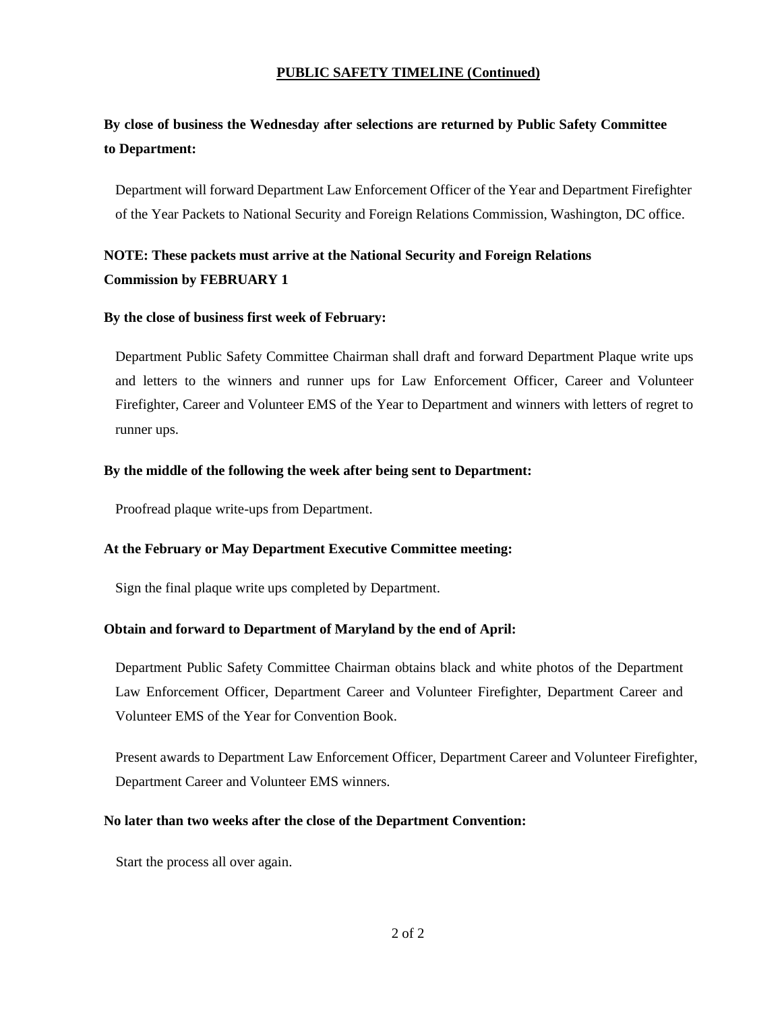#### **PUBLIC SAFETY TIMELINE (Continued)**

# **By close of business the Wednesday after selections are returned by Public Safety Committee to Department:**

Department will forward Department Law Enforcement Officer of the Year and Department Firefighter of the Year Packets to National Security and Foreign Relations Commission, Washington, DC office.

# **NOTE: These packets must arrive at the National Security and Foreign Relations Commission by FEBRUARY 1**

#### **By the close of business first week of February:**

Department Public Safety Committee Chairman shall draft and forward Department Plaque write ups and letters to the winners and runner ups for Law Enforcement Officer, Career and Volunteer Firefighter, Career and Volunteer EMS of the Year to Department and winners with letters of regret to runner ups.

#### **By the middle of the following the week after being sent to Department:**

Proofread plaque write-ups from Department.

#### **At the February or May Department Executive Committee meeting:**

Sign the final plaque write ups completed by Department.

#### **Obtain and forward to Department of Maryland by the end of April:**

Department Public Safety Committee Chairman obtains black and white photos of the Department Law Enforcement Officer, Department Career and Volunteer Firefighter, Department Career and Volunteer EMS of the Year for Convention Book.

Present awards to Department Law Enforcement Officer, Department Career and Volunteer Firefighter, Department Career and Volunteer EMS winners.

#### **No later than two weeks after the close of the Department Convention:**

Start the process all over again.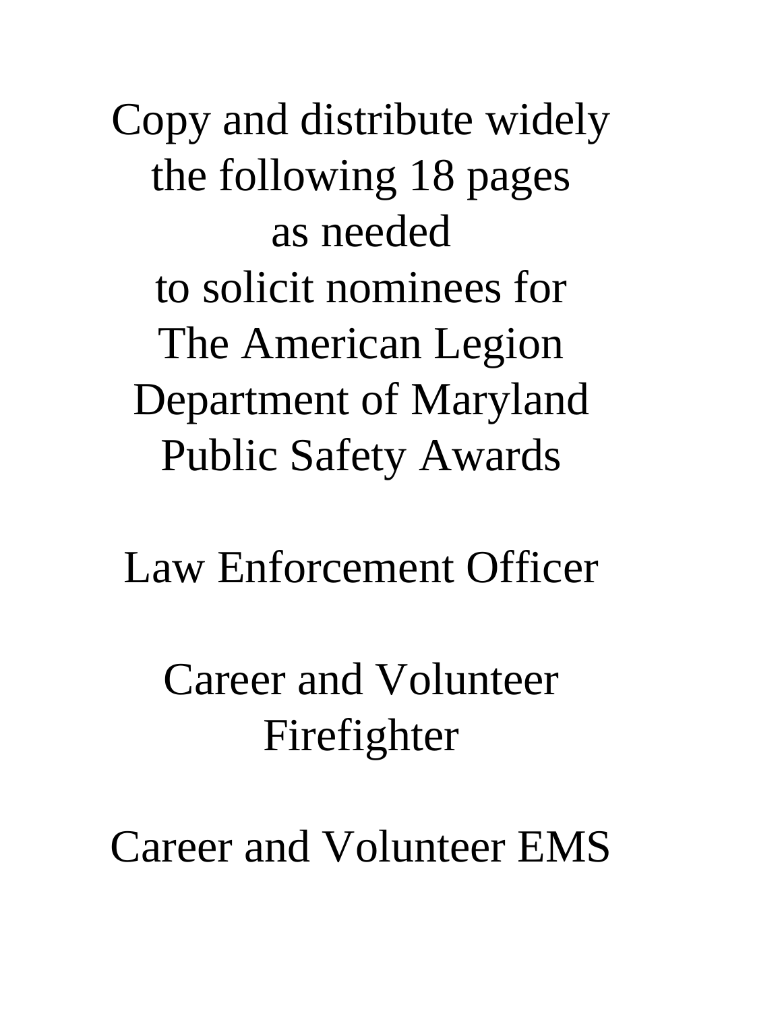Copy and distribute widely the following 18 pages as needed to solicit nominees for The American Legion Department of Maryland Public Safety Awards

Law Enforcement Officer

Career and Volunteer Firefighter

Career and Volunteer EMS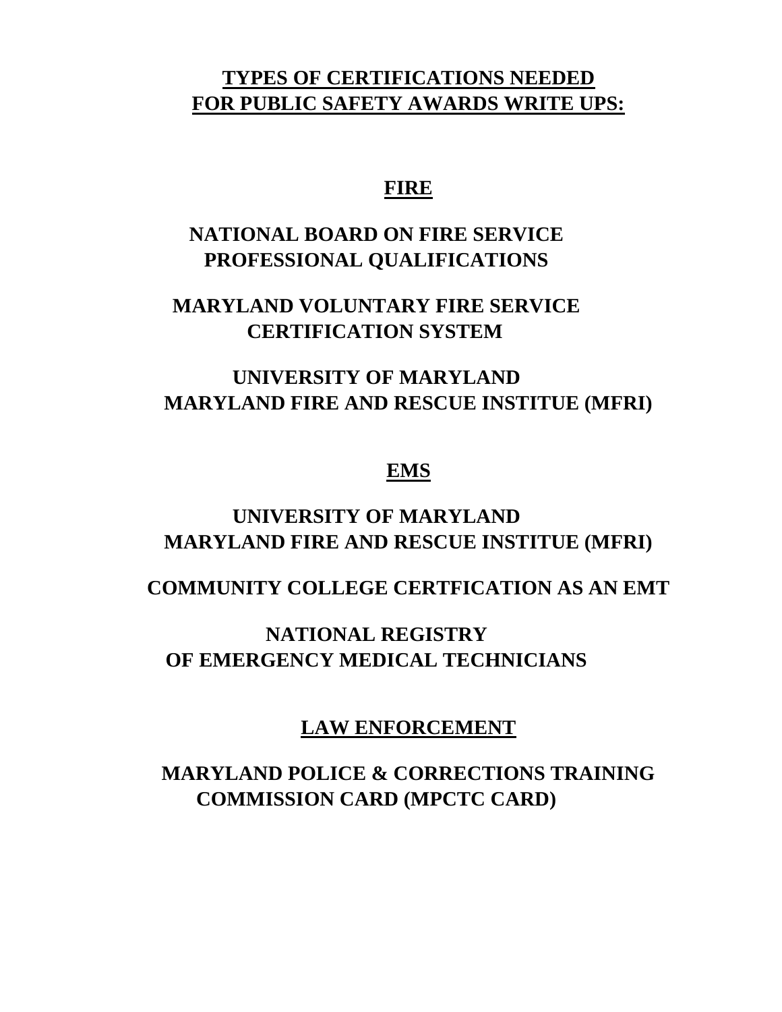# **TYPES OF CERTIFICATIONS NEEDED FOR PUBLIC SAFETY AWARDS WRITE UPS:**

# **FIRE**

# **NATIONAL BOARD ON FIRE SERVICE PROFESSIONAL QUALIFICATIONS**

# **MARYLAND VOLUNTARY FIRE SERVICE CERTIFICATION SYSTEM**

# **UNIVERSITY OF MARYLAND MARYLAND FIRE AND RESCUE INSTITUE (MFRI)**

# **EMS**

# **UNIVERSITY OF MARYLAND MARYLAND FIRE AND RESCUE INSTITUE (MFRI)**

# **COMMUNITY COLLEGE CERTFICATION AS AN EMT**

**NATIONAL REGISTRY OF EMERGENCY MEDICAL TECHNICIANS**

# **LAW ENFORCEMENT**

# **MARYLAND POLICE & CORRECTIONS TRAINING COMMISSION CARD (MPCTC CARD)**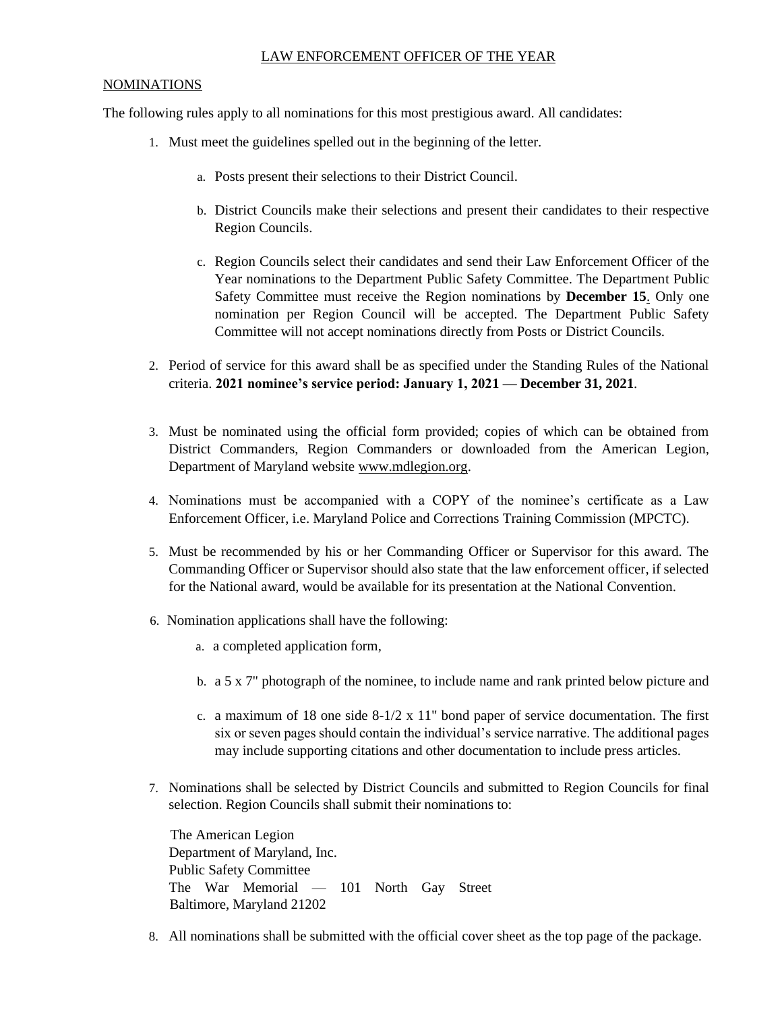#### LAW ENFORCEMENT OFFICER OF THE YEAR

#### **NOMINATIONS**

The following rules apply to all nominations for this most prestigious award. All candidates:

- 1. Must meet the guidelines spelled out in the beginning of the letter.
	- a. Posts present their selections to their District Council.
	- b. District Councils make their selections and present their candidates to their respective Region Councils.
	- c. Region Councils select their candidates and send their Law Enforcement Officer of the Year nominations to the Department Public Safety Committee. The Department Public Safety Committee must receive the Region nominations by **December 15**. Only one nomination per Region Council will be accepted. The Department Public Safety Committee will not accept nominations directly from Posts or District Councils.
- 2. Period of service for this award shall be as specified under the Standing Rules of the National criteria. **2021 nominee's service period: January 1, 2021 — December 31, 2021**.
- 3. Must be nominated using the official form provided; copies of which can be obtained from District Commanders, Region Commanders or downloaded from the American Legion, Department of Maryland website www.mdlegion.org.
- 4. Nominations must be accompanied with a COPY of the nominee's certificate as a Law Enforcement Officer, i.e. Maryland Police and Corrections Training Commission (MPCTC).
- 5. Must be recommended by his or her Commanding Officer or Supervisor for this award. The Commanding Officer or Supervisor should also state that the law enforcement officer, if selected for the National award, would be available for its presentation at the National Convention.
- 6. Nomination applications shall have the following:
	- a. a completed application form,
	- b. a 5 x 7" photograph of the nominee, to include name and rank printed below picture and
	- c. a maximum of 18 one side  $8-1/2 \times 11$ " bond paper of service documentation. The first six or seven pages should contain the individual's service narrative. The additional pages may include supporting citations and other documentation to include press articles.
- 7. Nominations shall be selected by District Councils and submitted to Region Councils for final selection. Region Councils shall submit their nominations to:

The American Legion Department of Maryland, Inc. Public Safety Committee The War Memorial — 101 North Gay Street Baltimore, Maryland 21202

8. All nominations shall be submitted with the official cover sheet as the top page of the package.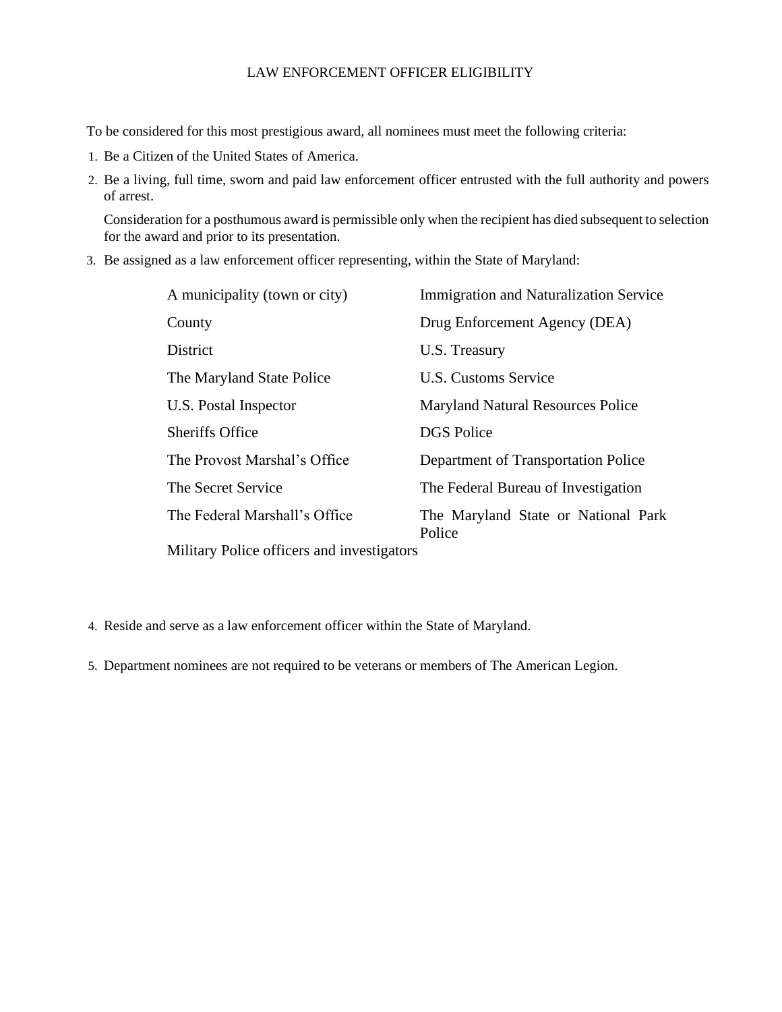### LAW ENFORCEMENT OFFICER ELIGIBILITY

To be considered for this most prestigious award, all nominees must meet the following criteria:

- 1. Be a Citizen of the United States of America.
- 2. Be a living, full time, sworn and paid law enforcement officer entrusted with the full authority and powers of arrest.

Consideration for a posthumous award is permissible only when the recipient has died subsequent to selection for the award and prior to its presentation.

3. Be assigned as a law enforcement officer representing, within the State of Maryland:

| A municipality (town or city)              | <b>Immigration and Naturalization Service</b> |  |
|--------------------------------------------|-----------------------------------------------|--|
| County                                     | Drug Enforcement Agency (DEA)                 |  |
| District                                   | U.S. Treasury                                 |  |
| The Maryland State Police                  | U.S. Customs Service                          |  |
| U.S. Postal Inspector                      | <b>Maryland Natural Resources Police</b>      |  |
| <b>Sheriffs Office</b>                     | <b>DGS</b> Police                             |  |
| The Provost Marshal's Office               | Department of Transportation Police           |  |
| The Secret Service                         | The Federal Bureau of Investigation           |  |
| The Federal Marshall's Office              | The Maryland State or National Park<br>Police |  |
| Military Police officers and investigators |                                               |  |

4. Reside and serve as a law enforcement officer within the State of Maryland.

5. Department nominees are not required to be veterans or members of The American Legion.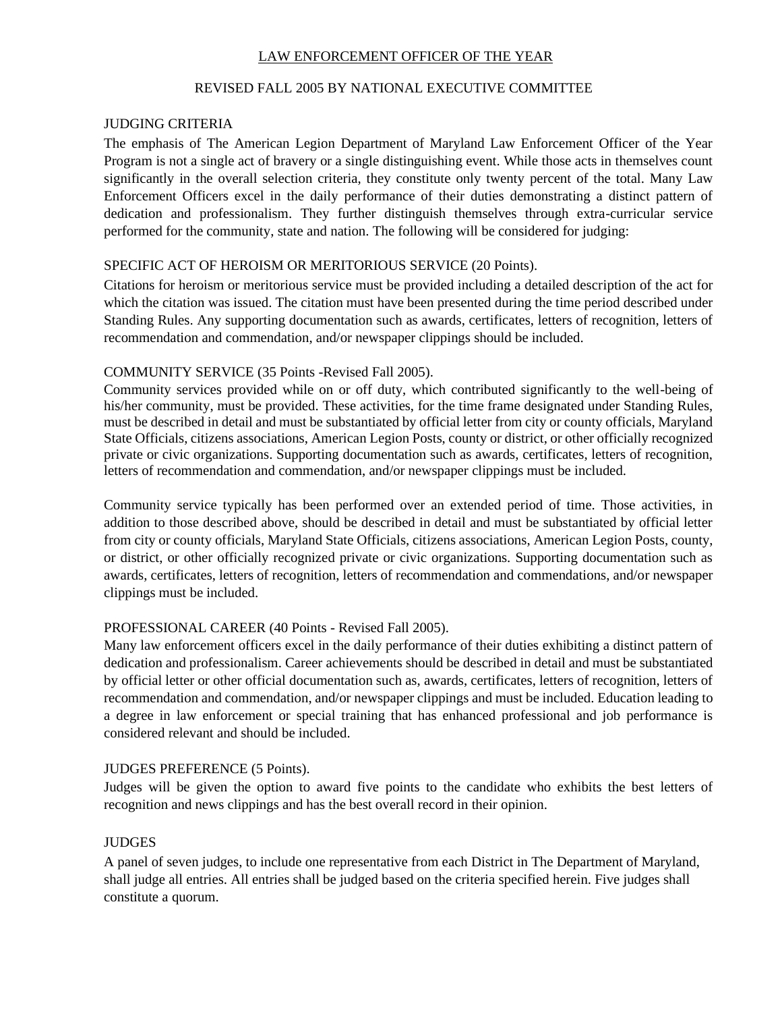### LAW ENFORCEMENT OFFICER OF THE YEAR

### REVISED FALL 2005 BY NATIONAL EXECUTIVE COMMITTEE

#### JUDGING CRITERIA

The emphasis of The American Legion Department of Maryland Law Enforcement Officer of the Year Program is not a single act of bravery or a single distinguishing event. While those acts in themselves count significantly in the overall selection criteria, they constitute only twenty percent of the total. Many Law Enforcement Officers excel in the daily performance of their duties demonstrating a distinct pattern of dedication and professionalism. They further distinguish themselves through extra-curricular service performed for the community, state and nation. The following will be considered for judging:

#### SPECIFIC ACT OF HEROISM OR MERITORIOUS SERVICE (20 Points).

Citations for heroism or meritorious service must be provided including a detailed description of the act for which the citation was issued. The citation must have been presented during the time period described under Standing Rules. Any supporting documentation such as awards, certificates, letters of recognition, letters of recommendation and commendation, and/or newspaper clippings should be included.

#### COMMUNITY SERVICE (35 Points -Revised Fall 2005).

Community services provided while on or off duty, which contributed significantly to the well-being of his/her community, must be provided. These activities, for the time frame designated under Standing Rules, must be described in detail and must be substantiated by official letter from city or county officials, Maryland State Officials, citizens associations, American Legion Posts, county or district, or other officially recognized private or civic organizations. Supporting documentation such as awards, certificates, letters of recognition, letters of recommendation and commendation, and/or newspaper clippings must be included.

Community service typically has been performed over an extended period of time. Those activities, in addition to those described above, should be described in detail and must be substantiated by official letter from city or county officials, Maryland State Officials, citizens associations, American Legion Posts, county, or district, or other officially recognized private or civic organizations. Supporting documentation such as awards, certificates, letters of recognition, letters of recommendation and commendations, and/or newspaper clippings must be included.

#### PROFESSIONAL CAREER (40 Points - Revised Fall 2005).

Many law enforcement officers excel in the daily performance of their duties exhibiting a distinct pattern of dedication and professionalism. Career achievements should be described in detail and must be substantiated by official letter or other official documentation such as, awards, certificates, letters of recognition, letters of recommendation and commendation, and/or newspaper clippings and must be included. Education leading to a degree in law enforcement or special training that has enhanced professional and job performance is considered relevant and should be included.

#### JUDGES PREFERENCE (5 Points).

Judges will be given the option to award five points to the candidate who exhibits the best letters of recognition and news clippings and has the best overall record in their opinion.

#### **JUDGES**

A panel of seven judges, to include one representative from each District in The Department of Maryland, shall judge all entries. All entries shall be judged based on the criteria specified herein. Five judges shall constitute a quorum.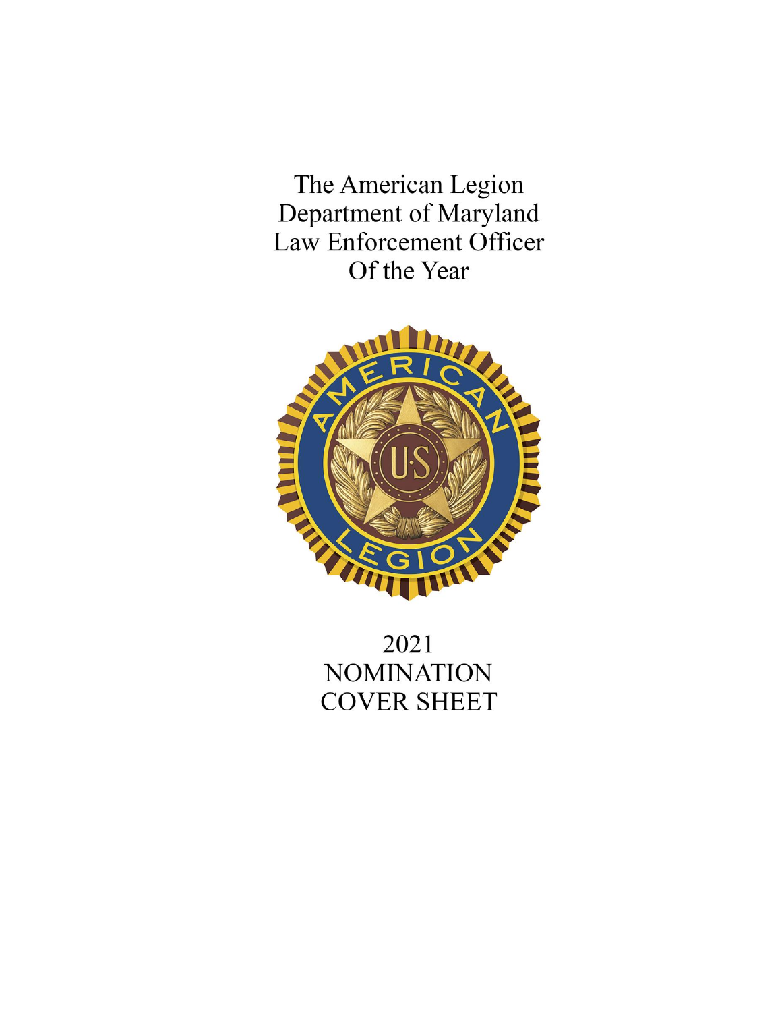The American Legion Department of Maryland Law Enforcement Officer Of the Year

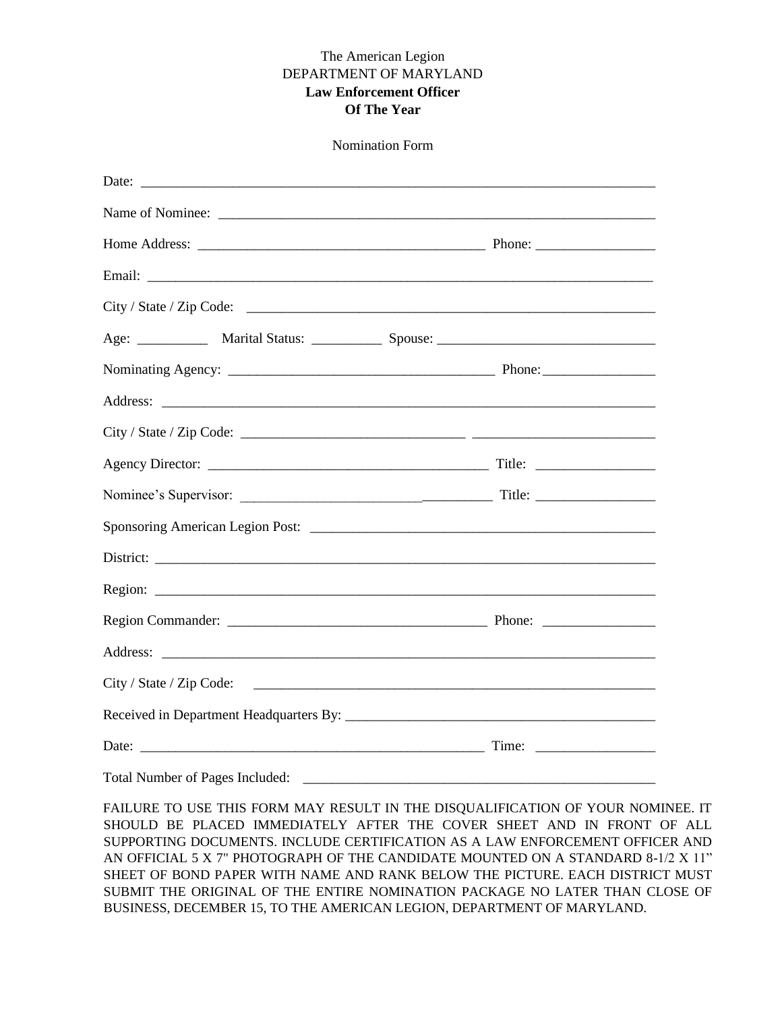## The American Legion DEPARTMENT OF MARYLAND **Law Enforcement Officer Of The Year**

Nomination Form

|                                        | Age: _____________ Marital Status: ____________ Spouse: _________________________ |
|----------------------------------------|-----------------------------------------------------------------------------------|
|                                        |                                                                                   |
|                                        |                                                                                   |
| City / State / Zip Code:               |                                                                                   |
|                                        |                                                                                   |
|                                        |                                                                                   |
|                                        |                                                                                   |
|                                        |                                                                                   |
|                                        |                                                                                   |
|                                        |                                                                                   |
|                                        |                                                                                   |
|                                        |                                                                                   |
|                                        |                                                                                   |
|                                        | Time:                                                                             |
| <b>Total Number of Pages Included:</b> |                                                                                   |

FAILURE TO USE THIS FORM MAY RESULT IN THE DISQUALIFICATION OF YOUR NOMINEE. IT SHOULD BE PLACED IMMEDIATELY AFTER THE COVER SHEET AND IN FRONT OF ALL SUPPORTING DOCUMENTS. INCLUDE CERTIFICATION AS A LAW ENFORCEMENT OFFICER AND AN OFFICIAL 5 X 7" PHOTOGRAPH OF THE CANDIDATE MOUNTED ON A STANDARD 8-1/2 X 11" SHEET OF BOND PAPER WITH NAME AND RANK BELOW THE PICTURE. EACH DISTRICT MUST SUBMIT THE ORIGINAL OF THE ENTIRE NOMINATION PACKAGE NO LATER THAN CLOSE OF BUSINESS, DECEMBER 15, TO THE AMERICAN LEGION, DEPARTMENT OF MARYLAND.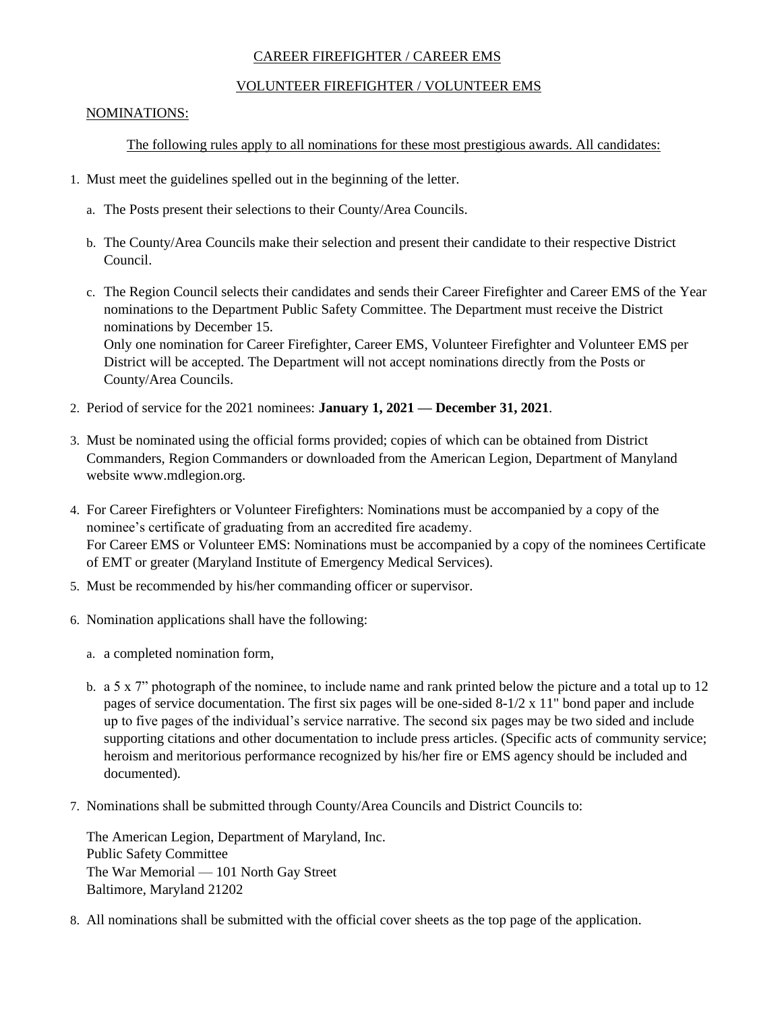### CAREER FIREFIGHTER / CAREER EMS

#### VOLUNTEER FIREFIGHTER / VOLUNTEER EMS

#### NOMINATIONS:

The following rules apply to all nominations for these most prestigious awards. All candidates:

- 1. Must meet the guidelines spelled out in the beginning of the letter.
	- a. The Posts present their selections to their County/Area Councils.
	- b. The County/Area Councils make their selection and present their candidate to their respective District Council.
	- c. The Region Council selects their candidates and sends their Career Firefighter and Career EMS of the Year nominations to the Department Public Safety Committee. The Department must receive the District nominations by December 15.

Only one nomination for Career Firefighter, Career EMS, Volunteer Firefighter and Volunteer EMS per District will be accepted. The Department will not accept nominations directly from the Posts or County/Area Councils.

- 2. Period of service for the 2021 nominees: **January 1, 2021 — December 31, 2021**.
- 3. Must be nominated using the official forms provided; copies of which can be obtained from District Commanders, Region Commanders or downloaded from the American Legion, Department of Manyland website www.mdlegion.org.
- 4. For Career Firefighters or Volunteer Firefighters: Nominations must be accompanied by a copy of the nominee's certificate of graduating from an accredited fire academy. For Career EMS or Volunteer EMS: Nominations must be accompanied by a copy of the nominees Certificate of EMT or greater (Maryland Institute of Emergency Medical Services).
- 5. Must be recommended by his/her commanding officer or supervisor.
- 6. Nomination applications shall have the following:
	- a. a completed nomination form,
	- b. a 5 x 7" photograph of the nominee, to include name and rank printed below the picture and a total up to 12 pages of service documentation. The first six pages will be one-sided 8-1/2 x 11" bond paper and include up to five pages of the individual's service narrative. The second six pages may be two sided and include supporting citations and other documentation to include press articles. (Specific acts of community service; heroism and meritorious performance recognized by his/her fire or EMS agency should be included and documented).
- 7. Nominations shall be submitted through County/Area Councils and District Councils to:

The American Legion, Department of Maryland, Inc. Public Safety Committee The War Memorial — 101 North Gay Street Baltimore, Maryland 21202

8. All nominations shall be submitted with the official cover sheets as the top page of the application.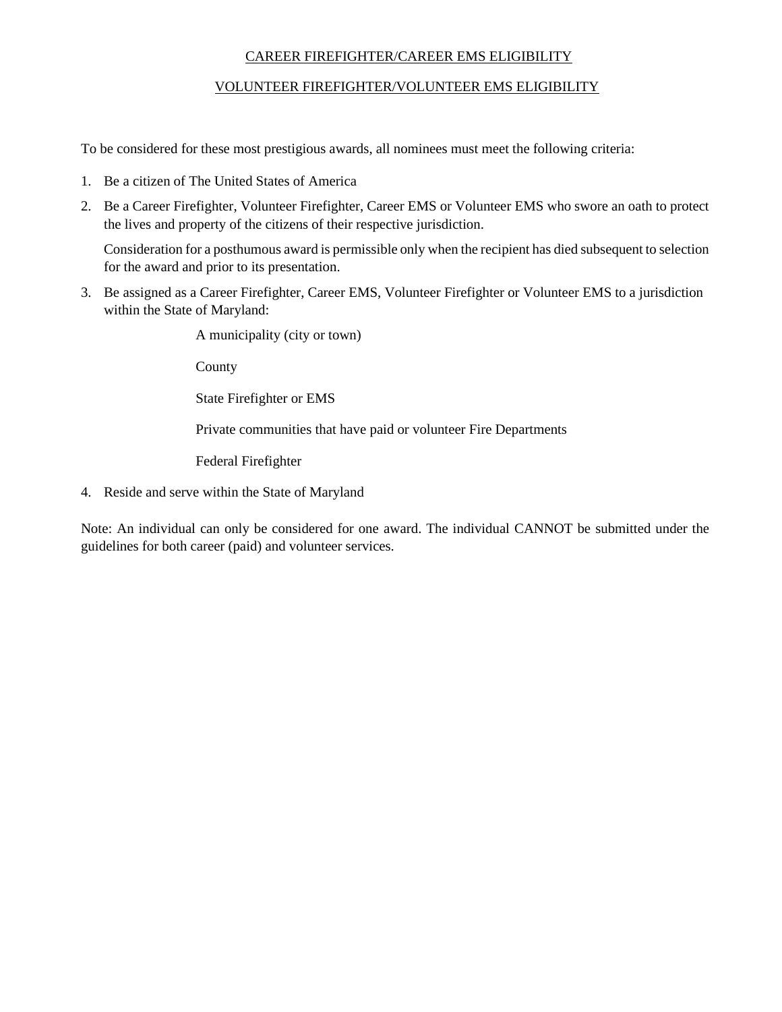### CAREER FIREFIGHTER/CAREER EMS ELIGIBILITY

#### VOLUNTEER FIREFIGHTER/VOLUNTEER EMS ELIGIBILITY

To be considered for these most prestigious awards, all nominees must meet the following criteria:

- 1. Be a citizen of The United States of America
- 2. Be a Career Firefighter, Volunteer Firefighter, Career EMS or Volunteer EMS who swore an oath to protect the lives and property of the citizens of their respective jurisdiction.

Consideration for a posthumous award is permissible only when the recipient has died subsequent to selection for the award and prior to its presentation.

3. Be assigned as a Career Firefighter, Career EMS, Volunteer Firefighter or Volunteer EMS to a jurisdiction within the State of Maryland:

A municipality (city or town)

County

State Firefighter or EMS

Private communities that have paid or volunteer Fire Departments

Federal Firefighter

4. Reside and serve within the State of Maryland

Note: An individual can only be considered for one award. The individual CANNOT be submitted under the guidelines for both career (paid) and volunteer services.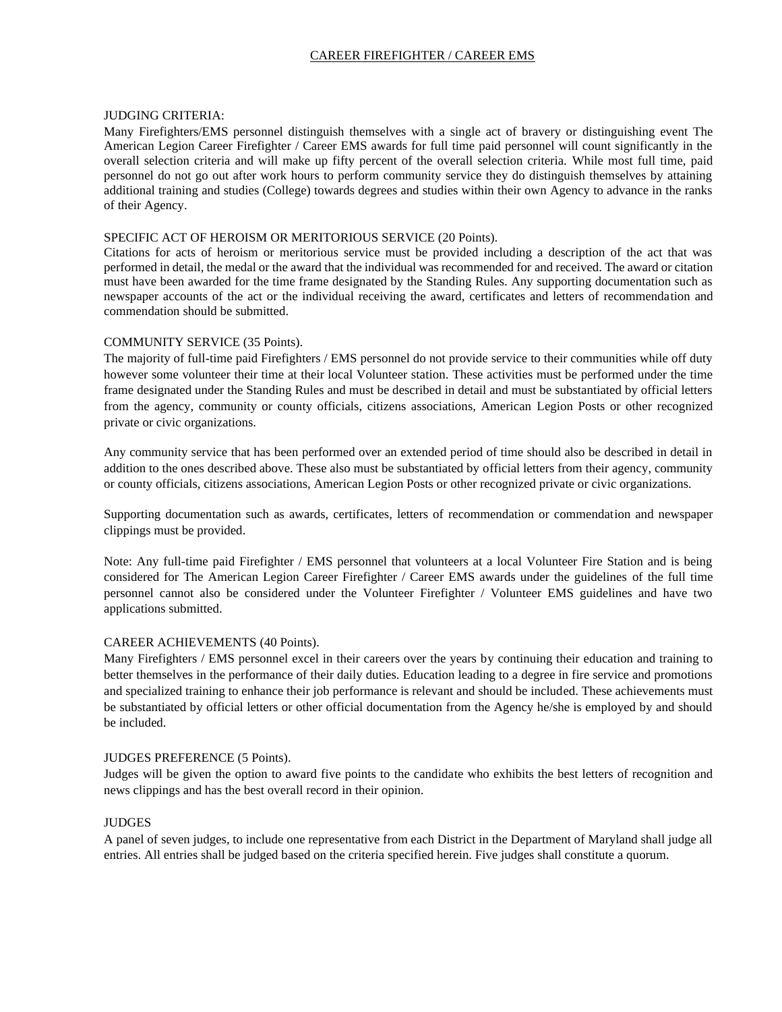#### CAREER FIREFIGHTER / CAREER EMS

#### JUDGING CRITERIA:

Many Firefighters/EMS personnel distinguish themselves with a single act of bravery or distinguishing event The American Legion Career Firefighter / Career EMS awards for full time paid personnel will count significantly in the overall selection criteria and will make up fifty percent of the overall selection criteria. While most full time, paid personnel do not go out after work hours to perform community service they do distinguish themselves by attaining additional training and studies (College) towards degrees and studies within their own Agency to advance in the ranks of their Agency.

#### SPECIFIC ACT OF HEROISM OR MERITORIOUS SERVICE (20 Points).

Citations for acts of heroism or meritorious service must be provided including a description of the act that was performed in detail, the medal or the award that the individual was recommended for and received. The award or citation must have been awarded for the time frame designated by the Standing Rules. Any supporting documentation such as newspaper accounts of the act or the individual receiving the award, certificates and letters of recommendation and commendation should be submitted.

#### COMMUNITY SERVICE (35 Points).

The majority of full-time paid Firefighters / EMS personnel do not provide service to their communities while off duty however some volunteer their time at their local Volunteer station. These activities must be performed under the time frame designated under the Standing Rules and must be described in detail and must be substantiated by official letters from the agency, community or county officials, citizens associations, American Legion Posts or other recognized private or civic organizations.

Any community service that has been performed over an extended period of time should also be described in detail in addition to the ones described above. These also must be substantiated by official letters from their agency, community or county officials, citizens associations, American Legion Posts or other recognized private or civic organizations.

Supporting documentation such as awards, certificates, letters of recommendation or commendation and newspaper clippings must be provided.

Note: Any full-time paid Firefighter / EMS personnel that volunteers at a local Volunteer Fire Station and is being considered for The American Legion Career Firefighter / Career EMS awards under the guidelines of the full time personnel cannot also be considered under the Volunteer Firefighter / Volunteer EMS guidelines and have two applications submitted.

#### CAREER ACHIEVEMENTS (40 Points).

Many Firefighters / EMS personnel excel in their careers over the years by continuing their education and training to better themselves in the performance of their daily duties. Education leading to a degree in fire service and promotions and specialized training to enhance their job performance is relevant and should be included. These achievements must be substantiated by official letters or other official documentation from the Agency he/she is employed by and should be included.

#### JUDGES PREFERENCE (5 Points).

Judges will be given the option to award five points to the candidate who exhibits the best letters of recognition and news clippings and has the best overall record in their opinion.

#### **JUDGES**

A panel of seven judges, to include one representative from each District in the Department of Maryland shall judge all entries. All entries shall be judged based on the criteria specified herein. Five judges shall constitute a quorum.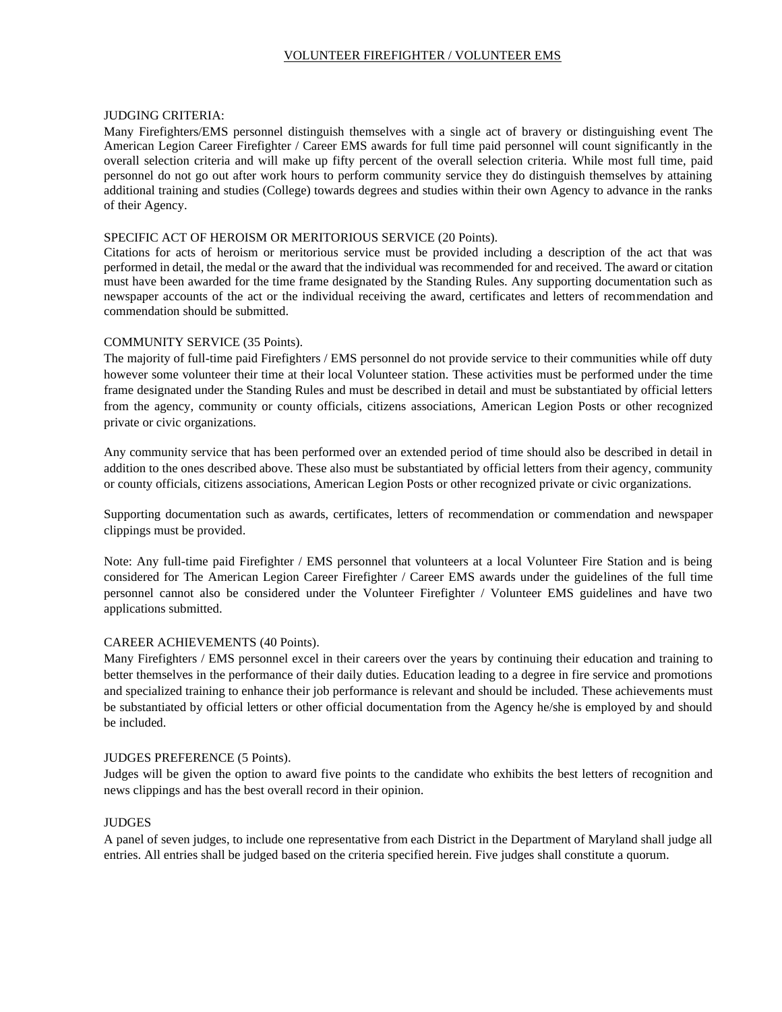#### VOLUNTEER FIREFIGHTER / VOLUNTEER EMS

#### JUDGING CRITERIA:

Many Firefighters/EMS personnel distinguish themselves with a single act of bravery or distinguishing event The American Legion Career Firefighter / Career EMS awards for full time paid personnel will count significantly in the overall selection criteria and will make up fifty percent of the overall selection criteria. While most full time, paid personnel do not go out after work hours to perform community service they do distinguish themselves by attaining additional training and studies (College) towards degrees and studies within their own Agency to advance in the ranks of their Agency.

#### SPECIFIC ACT OF HEROISM OR MERITORIOUS SERVICE (20 Points).

Citations for acts of heroism or meritorious service must be provided including a description of the act that was performed in detail, the medal or the award that the individual was recommended for and received. The award or citation must have been awarded for the time frame designated by the Standing Rules. Any supporting documentation such as newspaper accounts of the act or the individual receiving the award, certificates and letters of recommendation and commendation should be submitted.

#### COMMUNITY SERVICE (35 Points).

The majority of full-time paid Firefighters / EMS personnel do not provide service to their communities while off duty however some volunteer their time at their local Volunteer station. These activities must be performed under the time frame designated under the Standing Rules and must be described in detail and must be substantiated by official letters from the agency, community or county officials, citizens associations, American Legion Posts or other recognized private or civic organizations.

Any community service that has been performed over an extended period of time should also be described in detail in addition to the ones described above. These also must be substantiated by official letters from their agency, community or county officials, citizens associations, American Legion Posts or other recognized private or civic organizations.

Supporting documentation such as awards, certificates, letters of recommendation or commendation and newspaper clippings must be provided.

Note: Any full-time paid Firefighter / EMS personnel that volunteers at a local Volunteer Fire Station and is being considered for The American Legion Career Firefighter / Career EMS awards under the guidelines of the full time personnel cannot also be considered under the Volunteer Firefighter / Volunteer EMS guidelines and have two applications submitted.

#### CAREER ACHIEVEMENTS (40 Points).

Many Firefighters / EMS personnel excel in their careers over the years by continuing their education and training to better themselves in the performance of their daily duties. Education leading to a degree in fire service and promotions and specialized training to enhance their job performance is relevant and should be included. These achievements must be substantiated by official letters or other official documentation from the Agency he/she is employed by and should be included.

#### JUDGES PREFERENCE (5 Points).

Judges will be given the option to award five points to the candidate who exhibits the best letters of recognition and news clippings and has the best overall record in their opinion.

#### **JUDGES**

A panel of seven judges, to include one representative from each District in the Department of Maryland shall judge all entries. All entries shall be judged based on the criteria specified herein. Five judges shall constitute a quorum.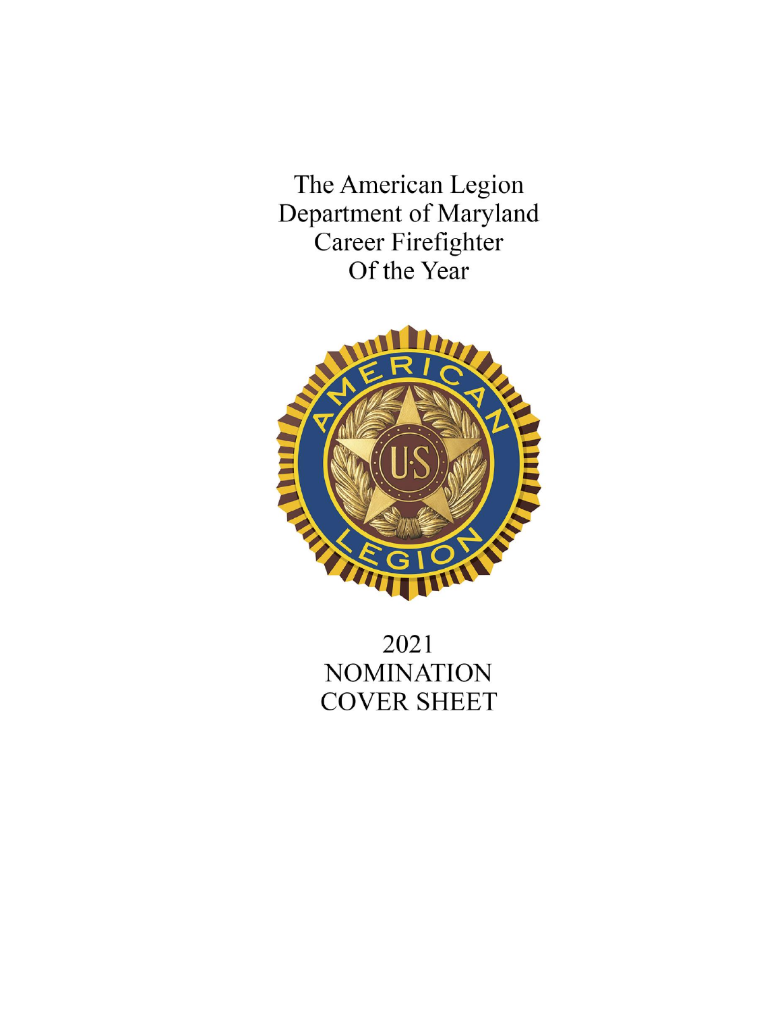The American Legion Department of Maryland Career Firefighter Of the Year

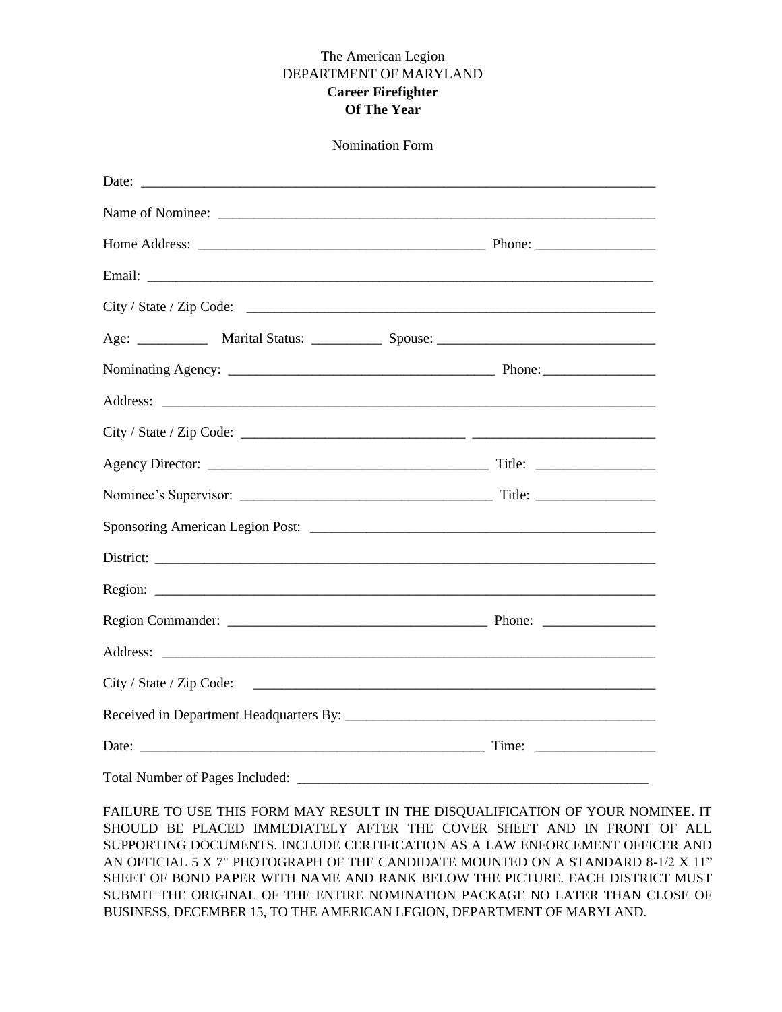# The American Legion DEPARTMENT OF MARYLAND **Career Firefighter Of The Year**

Nomination Form

| Sponsoring American Legion Post: |                                                          |
|----------------------------------|----------------------------------------------------------|
|                                  |                                                          |
|                                  |                                                          |
|                                  |                                                          |
|                                  |                                                          |
|                                  |                                                          |
|                                  |                                                          |
|                                  | Time: $\frac{1}{\sqrt{1-\frac{1}{2}} \cdot \frac{1}{2}}$ |
|                                  |                                                          |

FAILURE TO USE THIS FORM MAY RESULT IN THE DISQUALIFICATION OF YOUR NOMINEE. IT SHOULD BE PLACED IMMEDIATELY AFTER THE COVER SHEET AND IN FRONT OF ALL SUPPORTING DOCUMENTS. INCLUDE CERTIFICATION AS A LAW ENFORCEMENT OFFICER AND AN OFFICIAL 5 X 7" PHOTOGRAPH OF THE CANDIDATE MOUNTED ON A STANDARD 8-1/2 X 11" SHEET OF BOND PAPER WITH NAME AND RANK BELOW THE PICTURE. EACH DISTRICT MUST SUBMIT THE ORIGINAL OF THE ENTIRE NOMINATION PACKAGE NO LATER THAN CLOSE OF BUSINESS, DECEMBER 15, TO THE AMERICAN LEGION, DEPARTMENT OF MARYLAND.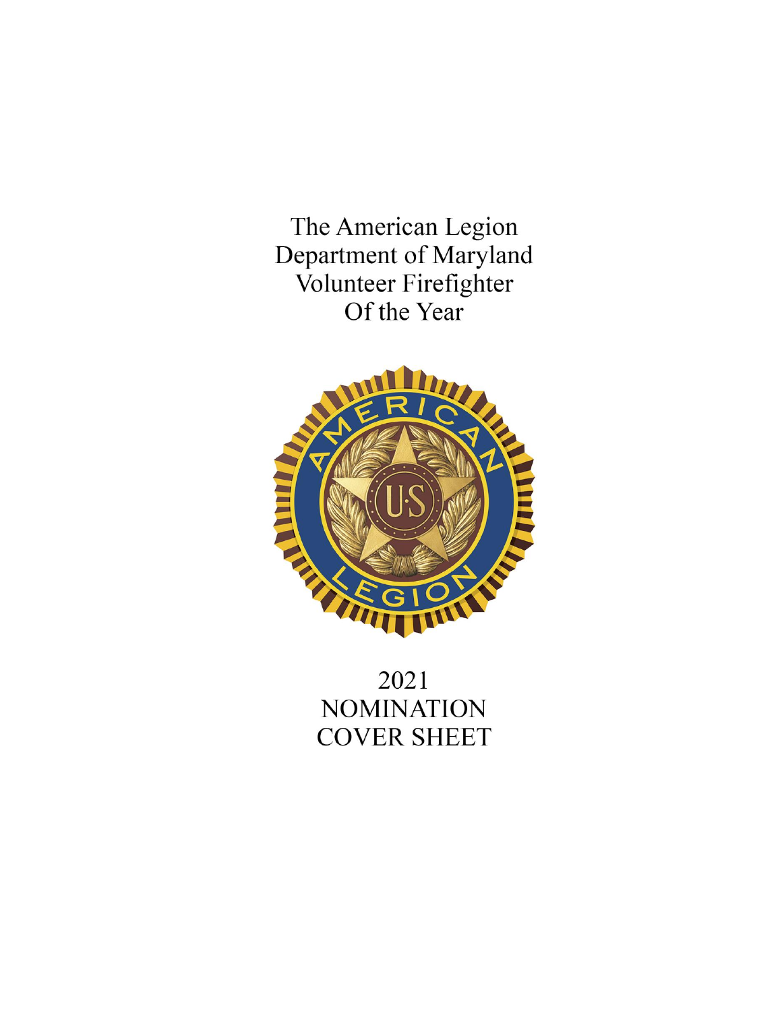The American Legion Department of Maryland Volunteer Firefighter Of the Year

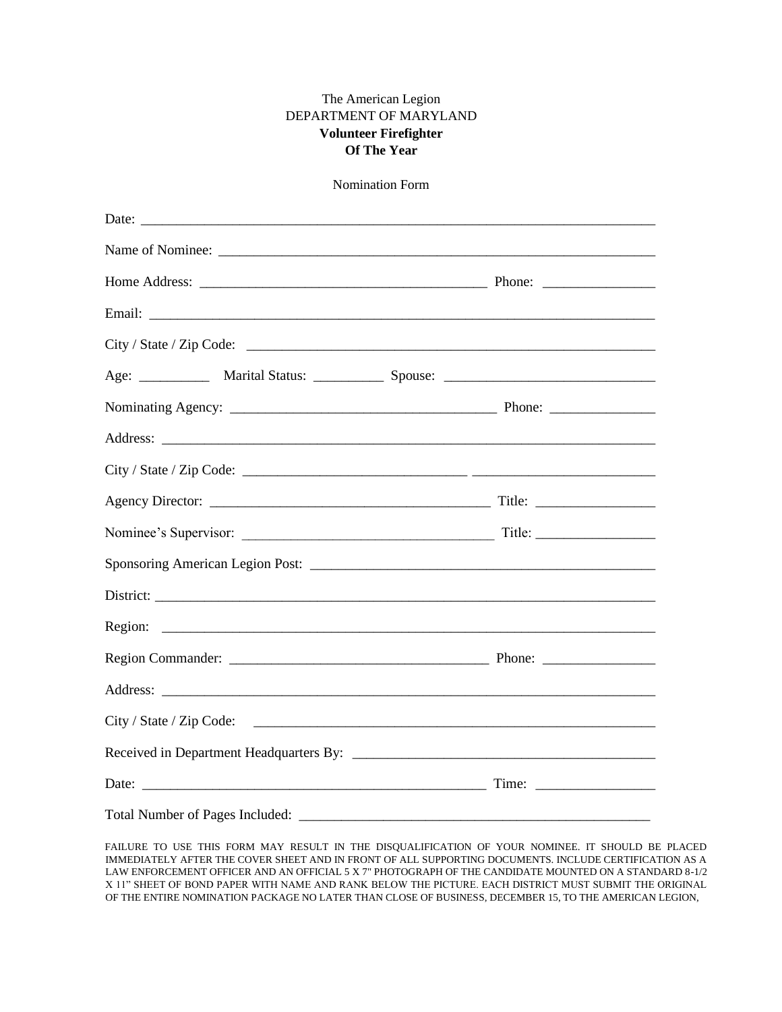### The American Legion DEPARTMENT OF MARYLAND **Volunteer Firefighter Of The Year**

Nomination Form

| Age: ______________ Marital Status: ____________ Spouse: ________________________ |  |
|-----------------------------------------------------------------------------------|--|
|                                                                                   |  |
|                                                                                   |  |
|                                                                                   |  |
|                                                                                   |  |
|                                                                                   |  |
|                                                                                   |  |
|                                                                                   |  |
|                                                                                   |  |
|                                                                                   |  |
|                                                                                   |  |
|                                                                                   |  |
|                                                                                   |  |
|                                                                                   |  |
|                                                                                   |  |

FAILURE TO USE THIS FORM MAY RESULT IN THE DISQUALIFICATION OF YOUR NOMINEE. IT SHOULD BE PLACED IMMEDIATELY AFTER THE COVER SHEET AND IN FRONT OF ALL SUPPORTING DOCUMENTS. INCLUDE CERTIFICATION AS A LAW ENFORCEMENT OFFICER AND AN OFFICIAL 5 X 7" PHOTOGRAPH OF THE CANDIDATE MOUNTED ON A STANDARD 8-1/2 X 11" SHEET OF BOND PAPER WITH NAME AND RANK BELOW THE PICTURE. EACH DISTRICT MUST SUBMIT THE ORIGINAL OF THE ENTIRE NOMINATION PACKAGE NO LATER THAN CLOSE OF BUSINESS, DECEMBER 15, TO THE AMERICAN LEGION,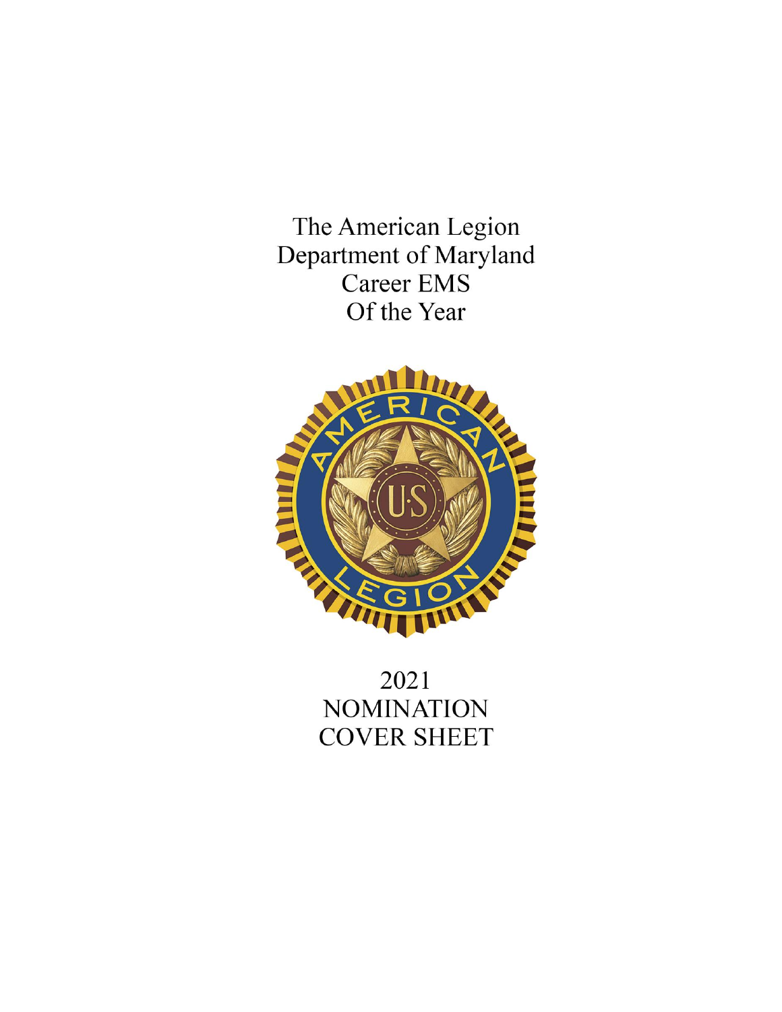The American Legion Department of Maryland **Career EMS** Of the Year

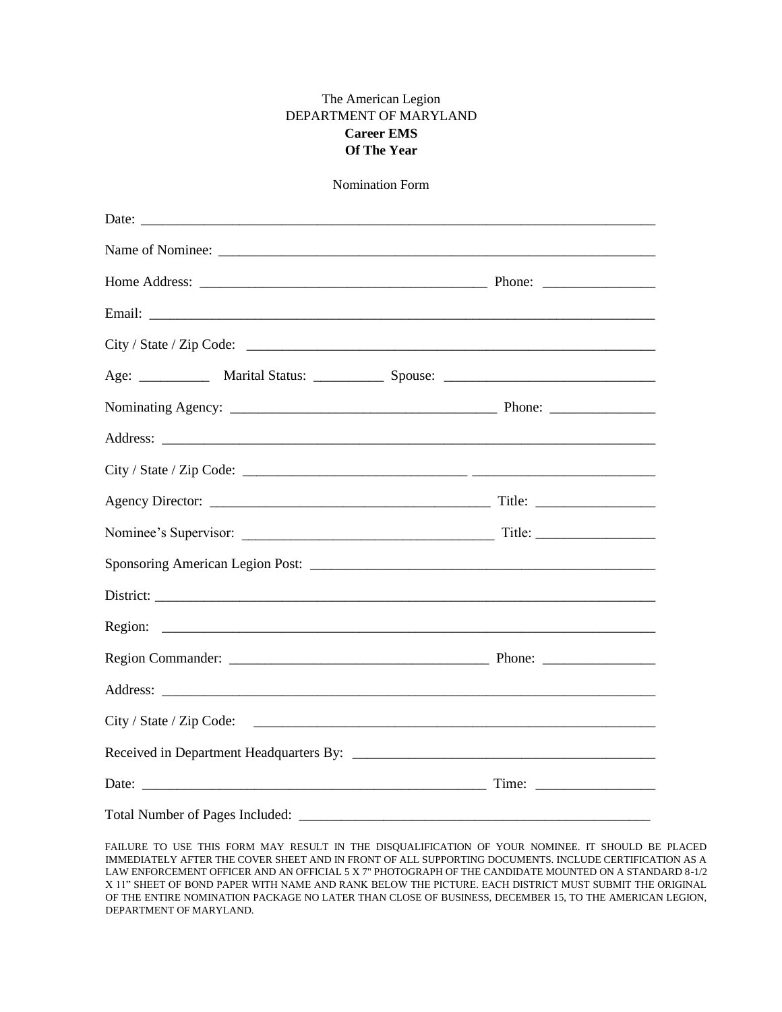### The American Legion DEPARTMENT OF MARYLAND **Career EMS Of The Year**

Nomination Form

| Age: ______________ Marital Status: ____________ Spouse: ________________________ |  |
|-----------------------------------------------------------------------------------|--|
|                                                                                   |  |
|                                                                                   |  |
|                                                                                   |  |
|                                                                                   |  |
|                                                                                   |  |
|                                                                                   |  |
|                                                                                   |  |
|                                                                                   |  |
|                                                                                   |  |
|                                                                                   |  |
|                                                                                   |  |
|                                                                                   |  |
|                                                                                   |  |
|                                                                                   |  |

FAILURE TO USE THIS FORM MAY RESULT IN THE DISQUALIFICATION OF YOUR NOMINEE. IT SHOULD BE PLACED IMMEDIATELY AFTER THE COVER SHEET AND IN FRONT OF ALL SUPPORTING DOCUMENTS. INCLUDE CERTIFICATION AS A LAW ENFORCEMENT OFFICER AND AN OFFICIAL 5 X 7" PHOTOGRAPH OF THE CANDIDATE MOUNTED ON A STANDARD 8-1/2 X 11" SHEET OF BOND PAPER WITH NAME AND RANK BELOW THE PICTURE. EACH DISTRICT MUST SUBMIT THE ORIGINAL OF THE ENTIRE NOMINATION PACKAGE NO LATER THAN CLOSE OF BUSINESS, DECEMBER 15, TO THE AMERICAN LEGION, DEPARTMENT OF MARYLAND.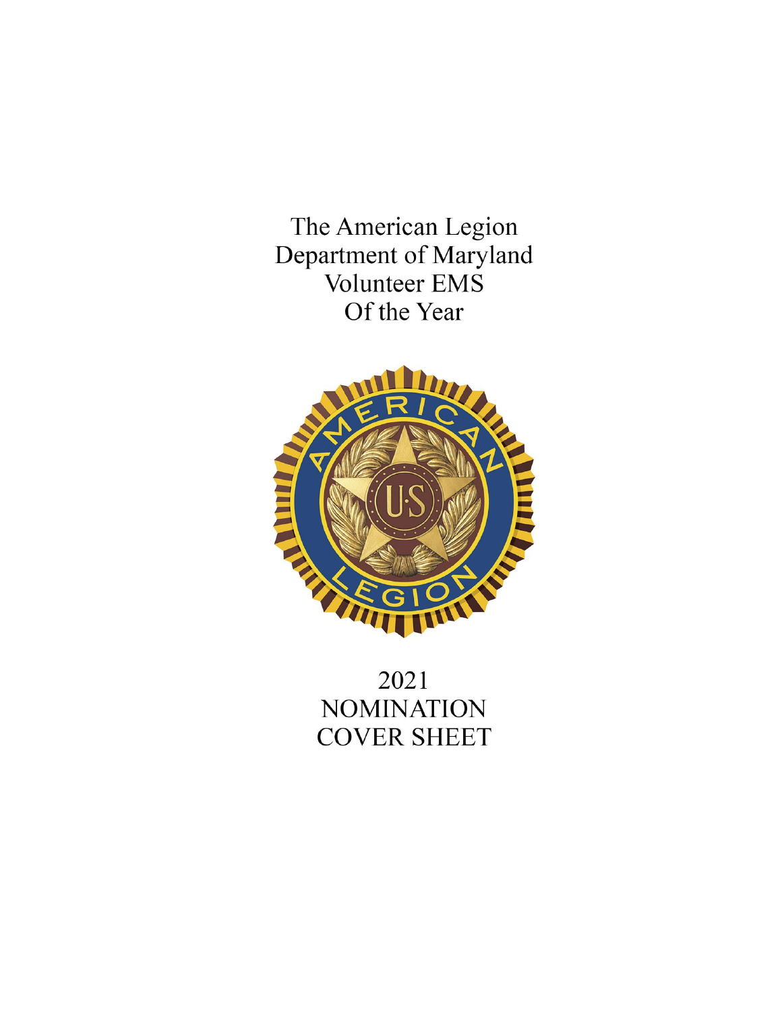The American Legion Department of Maryland Volunteer EMS Of the Year